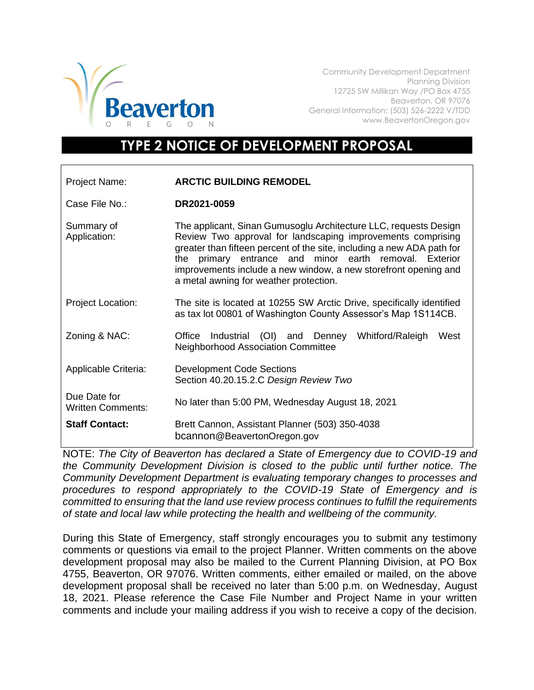

Community Development Department Planning Division 12725 SW Millikan Way /PO Box 4755 Beaverton, OR 97076 General Information: (503) 526-2222 V/TDD www.BeavertonOregon.gov

## **TYPE 2 NOTICE OF DEVELOPMENT PROPOSAL**

| Project Name:                            | <b>ARCTIC BUILDING REMODEL</b>                                                                                                                                                                                                                                                                                                                                                   |
|------------------------------------------|----------------------------------------------------------------------------------------------------------------------------------------------------------------------------------------------------------------------------------------------------------------------------------------------------------------------------------------------------------------------------------|
| Case File No.:                           | DR2021-0059                                                                                                                                                                                                                                                                                                                                                                      |
| Summary of<br>Application:               | The applicant, Sinan Gumusoglu Architecture LLC, requests Design<br>Review Two approval for landscaping improvements comprising<br>greater than fifteen percent of the site, including a new ADA path for<br>the primary entrance and minor earth removal. Exterior<br>improvements include a new window, a new storefront opening and<br>a metal awning for weather protection. |
| <b>Project Location:</b>                 | The site is located at 10255 SW Arctic Drive, specifically identified<br>as tax lot 00801 of Washington County Assessor's Map 1S114CB.                                                                                                                                                                                                                                           |
| Zoning & NAC:                            | Office Industrial (OI) and Denney<br>Whitford/Raleigh<br>West<br><b>Neighborhood Association Committee</b>                                                                                                                                                                                                                                                                       |
| Applicable Criteria:                     | <b>Development Code Sections</b><br>Section 40.20.15.2.C Design Review Two                                                                                                                                                                                                                                                                                                       |
| Due Date for<br><b>Written Comments:</b> | No later than 5:00 PM, Wednesday August 18, 2021                                                                                                                                                                                                                                                                                                                                 |
| <b>Staff Contact:</b>                    | Brett Cannon, Assistant Planner (503) 350-4038<br>bcannon@BeavertonOregon.gov                                                                                                                                                                                                                                                                                                    |

NOTE: *The City of Beaverton has declared a State of Emergency due to COVID-19 and the Community Development Division is closed to the public until further notice. The Community Development Department is evaluating temporary changes to processes and procedures to respond appropriately to the COVID-19 State of Emergency and is committed to ensuring that the land use review process continues to fulfill the requirements of state and local law while protecting the health and wellbeing of the community.*

During this State of Emergency, staff strongly encourages you to submit any testimony comments or questions via email to the project Planner. Written comments on the above development proposal may also be mailed to the Current Planning Division, at PO Box 4755, Beaverton, OR 97076. Written comments, either emailed or mailed, on the above development proposal shall be received no later than 5:00 p.m. on Wednesday, August 18, 2021. Please reference the Case File Number and Project Name in your written comments and include your mailing address if you wish to receive a copy of the decision.